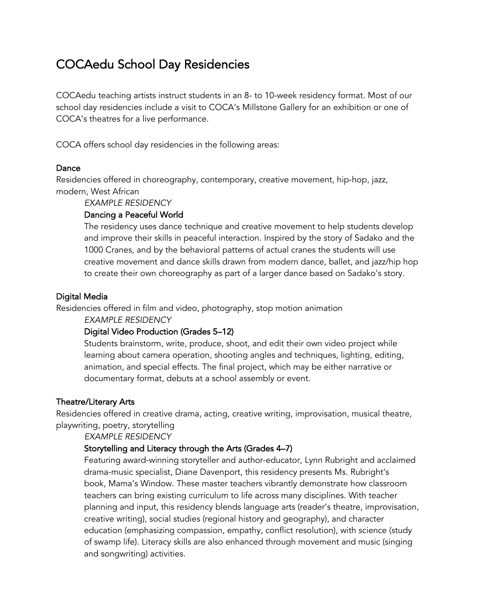# COCAedu School Day Residencies

COCAedu teaching artists instruct students in an 8- to 10-week residency format. Most of our school day residencies include a visit to COCA's Millstone Gallery for an exhibition or one of COCA's theatres for a live performance.

COCA offers school day residencies in the following areas:

#### Dance

Residencies offered in choreography, contemporary, creative movement, hip-hop, jazz, modern, West African

*EXAMPLE RESIDENCY*

#### Dancing a Peaceful World

The residency uses dance technique and creative movement to help students develop and improve their skills in peaceful interaction. Inspired by the story of Sadako and the 1000 Cranes, and by the behavioral patterns of actual cranes the students will use creative movement and dance skills drawn from modern dance, ballet, and jazz/hip hop to create their own choreography as part of a larger dance based on Sadako's story.

#### Digital Media

Residencies offered in film and video, photography, stop motion animation

*EXAMPLE RESIDENCY*

## Digital Video Production (Grades 5–12)

Students brainstorm, write, produce, shoot, and edit their own video project while learning about camera operation, shooting angles and techniques, lighting, editing, animation, and special effects. The final project, which may be either narrative or documentary format, debuts at a school assembly or event.

#### Theatre/Literary Arts

Residencies offered in creative drama, acting, creative writing, improvisation, musical theatre, playwriting, poetry, storytelling

*EXAMPLE RESIDENCY*

## Storytelling and Literacy through the Arts (Grades 4–7)

Featuring award-winning storyteller and author-educator, Lynn Rubright and acclaimed drama-music specialist, Diane Davenport, this residency presents Ms. Rubright's book, Mama's Window. These master teachers vibrantly demonstrate how classroom teachers can bring existing curriculum to life across many disciplines. With teacher planning and input, this residency blends language arts (reader's theatre, improvisation, creative writing), social studies (regional history and geography), and character education (emphasizing compassion, empathy, conflict resolution), with science (study of swamp life). Literacy skills are also enhanced through movement and music (singing and songwriting) activities.